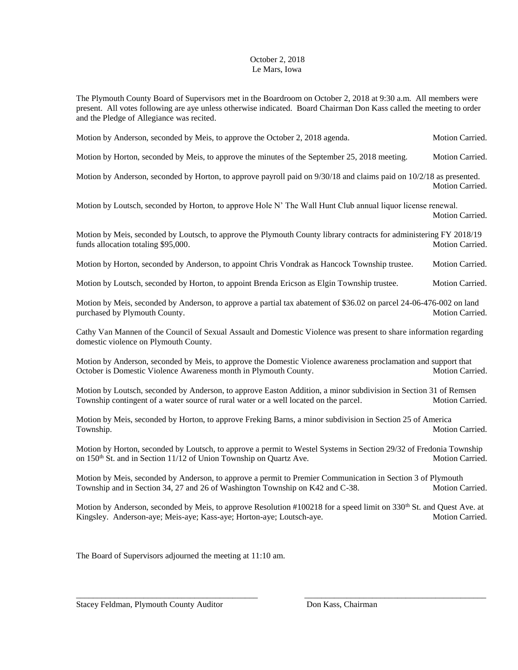## October 2, 2018 Le Mars, Iowa

The Plymouth County Board of Supervisors met in the Boardroom on October 2, 2018 at 9:30 a.m. All members were present. All votes following are aye unless otherwise indicated. Board Chairman Don Kass called the meeting to order and the Pledge of Allegiance was recited.

Motion by Anderson, seconded by Meis, to approve the October 2, 2018 agenda. Motion Carried.

Motion by Horton, seconded by Meis, to approve the minutes of the September 25, 2018 meeting. Motion Carried.

Motion by Anderson, seconded by Horton, to approve payroll paid on 9/30/18 and claims paid on 10/2/18 as presented. Motion Carried.

Motion by Loutsch, seconded by Horton, to approve Hole N' The Wall Hunt Club annual liquor license renewal. Motion Carried.

Motion by Meis, seconded by Loutsch, to approve the Plymouth County library contracts for administering FY 2018/19 funds allocation totaling \$95,000. Motion Carried.

Motion by Horton, seconded by Anderson, to appoint Chris Vondrak as Hancock Township trustee. Motion Carried.

Motion by Loutsch, seconded by Horton, to appoint Brenda Ericson as Elgin Township trustee. Motion Carried.

Motion by Meis, seconded by Anderson, to approve a partial tax abatement of \$36.02 on parcel 24-06-476-002 on land purchased by Plymouth County. Motion Carried. Motion Carried.

Cathy Van Mannen of the Council of Sexual Assault and Domestic Violence was present to share information regarding domestic violence on Plymouth County.

Motion by Anderson, seconded by Meis, to approve the Domestic Violence awareness proclamation and support that October is Domestic Violence Awareness month in Plymouth County. Motion Carried.

Motion by Loutsch, seconded by Anderson, to approve Easton Addition, a minor subdivision in Section 31 of Remsen Township contingent of a water source of rural water or a well located on the parcel. Motion Carried.

Motion by Meis, seconded by Horton, to approve Freking Barns, a minor subdivision in Section 25 of America Township. Motion Carried.

Motion by Horton, seconded by Loutsch, to approve a permit to Westel Systems in Section 29/32 of Fredonia Township on 150<sup>th</sup> St. and in Section 11/12 of Union Township on Quartz Ave. Motion Carried.

Motion by Meis, seconded by Anderson, to approve a permit to Premier Communication in Section 3 of Plymouth Township and in Section 34, 27 and 26 of Washington Township on K42 and C-38. Motion Carried.

Motion by Anderson, seconded by Meis, to approve Resolution #100218 for a speed limit on 330<sup>th</sup> St. and Quest Ave. at Kingsley. Anderson-aye; Meis-aye; Kass-aye; Horton-aye; Loutsch-aye. Motion Carried.

\_\_\_\_\_\_\_\_\_\_\_\_\_\_\_\_\_\_\_\_\_\_\_\_\_\_\_\_\_\_\_\_\_\_\_\_\_\_\_\_\_\_\_ \_\_\_\_\_\_\_\_\_\_\_\_\_\_\_\_\_\_\_\_\_\_\_\_\_\_\_\_\_\_\_\_\_\_\_\_\_\_\_\_\_\_\_

The Board of Supervisors adjourned the meeting at 11:10 am.

Stacey Feldman, Plymouth County Auditor Don Kass, Chairman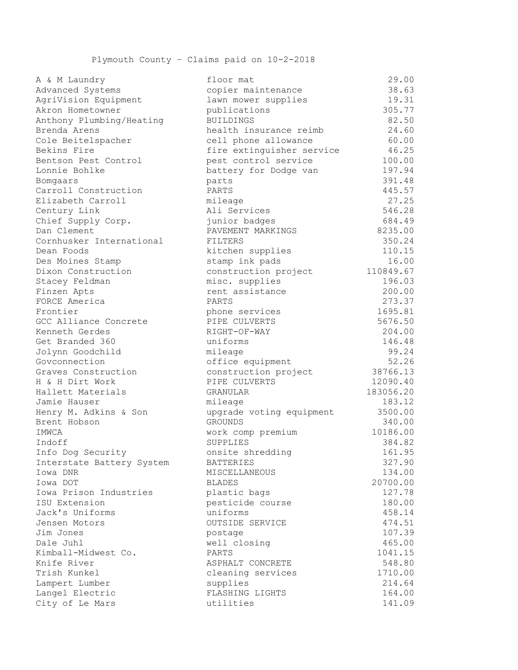Plymouth County – Claims paid on 10-2-2018

| A & M Laundry                         | floor mat                                | 29.UU            |
|---------------------------------------|------------------------------------------|------------------|
| Advanced Systems                      | copier maintenance                       | 38.63            |
| AgriVision Equipment                  | lawn mower supplies                      | 19.31            |
| Akron Hometowner                      | publications                             | 305.77           |
| Anthony Plumbing/Heating              | <b>BUILDINGS</b>                         | 82.50            |
| Brenda Arens                          | health insurance reimb                   | 24.60            |
| Cole Beitelspacher                    | cell phone allowance                     | 60.00            |
| Bekins Fire                           | fire extinguisher service                | 46.25            |
| Bentson Pest Control                  | pest control service                     | 100.00           |
| Lonnie Bohlke                         | battery for Dodge van                    | 197.94           |
| Bomgaars                              | parts                                    | 391.48           |
| Carroll Construction                  | PARTS                                    | 445.57           |
| Elizabeth Carroll                     | mileage                                  | 27.25            |
| Century Link                          | Ali Services                             | 546.28           |
| Chief Supply Corp.                    | junior badges                            | 684.49           |
| Dan Clement                           | PAVEMENT MARKINGS                        | 8235.00          |
| Cornhusker International              | FILTERS                                  | 350.24           |
| Dean Foods                            | kitchen supplies                         | 110.15           |
| Des Moines Stamp                      | stamp ink pads                           | 16.00            |
| Dixon Construction                    | construction project                     | 110849.67        |
| Stacey Feldman                        | misc. supplies                           | 196.03           |
| Finzen Apts                           | rent assistance                          | 200.00           |
| FORCE America                         | PARTS                                    | 273.37           |
| Frontier                              | phone services                           | 1695.81          |
| GCC Alliance Concrete                 | PIPE CULVERTS                            | 5676.50          |
| Kenneth Gerdes                        | RIGHT-OF-WAY                             | 204.00           |
| Get Branded 360                       | uniforms                                 | 146.48           |
| Jolynn Goodchild                      | mileage                                  | 99.24            |
| Govconnection                         | office equipment                         | 52.26            |
| Graves Construction                   | construction project                     | 38766.13         |
| H & H Dirt Work                       | PIPE CULVERTS                            | 12090.40         |
| Hallett Materials                     | GRANULAR                                 | 183056.20        |
| Jamie Hauser                          | mileage                                  | 183.12           |
| Henry M. Adkins & Son                 | upgrade voting equipment                 | 3500.00          |
| Brent Hobson                          | <b>GROUNDS</b>                           | 340.00           |
| IMWCA                                 |                                          | 10186.00         |
| Indoff                                | work comp premium<br>SUPPLIES            |                  |
|                                       |                                          | 384.82           |
| Info Dog Security                     | onsite shredding                         | 161.95<br>327.90 |
| Interstate Battery System<br>Iowa DNR | <b>BATTERIES</b><br><b>MISCELLANEOUS</b> |                  |
|                                       |                                          | 134.00           |
| Iowa DOT                              | <b>BLADES</b>                            | 20700.00         |
| Iowa Prison Industries                | plastic bags                             | 127.78           |
| ISU Extension                         | pesticide course                         | 180.00           |
| Jack's Uniforms                       | uniforms                                 | 458.14           |
| Jensen Motors                         | OUTSIDE SERVICE                          | 474.51           |
| Jim Jones                             | postage                                  | 107.39           |
| Dale Juhl                             | well closing                             | 465.00           |
| Kimball-Midwest Co.                   | PARTS                                    | 1041.15          |
| Knife River                           | ASPHALT CONCRETE                         | 548.80           |
| Trish Kunkel                          | cleaning services                        | 1710.00          |
| Lampert Lumber                        | supplies                                 | 214.64           |
| Langel Electric                       | FLASHING LIGHTS                          | 164.00           |
| City of Le Mars                       | utilities                                | 141.09           |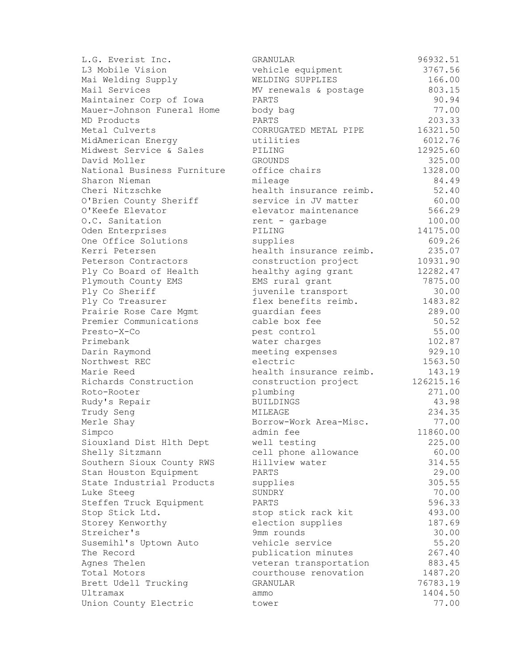| L.G. Everist Inc.           | GRANULAR                          | 96932.51         |
|-----------------------------|-----------------------------------|------------------|
| L3 Mobile Vision            | vehicle equipment                 | 3767.56          |
| Mai Welding Supply          | WELDING SUPPLIES                  | 166.00           |
| Mail Services               | MV renewals & postage             | 803.15           |
| Maintainer Corp of Iowa     | PARTS                             | 90.94            |
| Mauer-Johnson Funeral Home  | body bag                          | 77.00            |
| MD Products                 | PARTS                             | 203.33           |
| Metal Culverts              | CORRUGATED METAL PIPE             | 16321.50         |
| MidAmerican Energy          | utilities                         | 6012.76          |
| Midwest Service & Sales     | PILING                            | 12925.60         |
| David Moller                | <b>GROUNDS</b>                    | 325.00           |
| National Business Furniture | office chairs                     | 1328.00          |
| Sharon Nieman               | mileage                           | 84.49            |
| Cheri Nitzschke             | health insurance reimb.           | 52.40            |
| O'Brien County Sheriff      | service in JV matter              | 60.00            |
| O'Keefe Elevator            | elevator maintenance              | 566.29           |
| O.C. Sanitation             | rent - garbage                    | 100.00           |
| Oden Enterprises            | PILING                            | 14175.00         |
| One Office Solutions        | supplies                          | 609.26           |
| Kerri Petersen              | health insurance reimb.           | 235.07           |
| Peterson Contractors        | construction project              | 10931.90         |
| Ply Co Board of Health      | healthy aging grant               | 12282.47         |
| Plymouth County EMS         | EMS rural grant                   | 7875.00          |
| Ply Co Sheriff              | juvenile transport                | 30.00            |
| Ply Co Treasurer            | flex benefits reimb.              | 1483.82          |
| Prairie Rose Care Mgmt      | quardian fees                     | 289.00           |
| Premier Communications      | cable box fee                     | 50.52            |
| Presto-X-Co                 | pest control                      | 55.00            |
| Primebank                   | water charges                     | 102.87           |
| Darin Raymond               | meeting expenses                  | 929.10           |
| Northwest REC               | electric                          | 1563.50          |
| Marie Reed                  | health insurance reimb.           | 143.19           |
| Richards Construction       | construction project              | 126215.16        |
| Roto-Rooter                 | plumbing                          | 271.00           |
| Rudy's Repair               | <b>BUILDINGS</b>                  | 43.98            |
| Trudy Seng                  | MILEAGE                           | 234.35           |
| Merle Shay                  | Borrow-Work Area-Misc.            | 77.00            |
| Simpco                      | admin fee                         | 11860.00         |
| Siouxland Dist Hlth Dept    | well testing                      | 225.00           |
| Shelly Sitzmann             | cell phone allowance              | 60.00            |
| Southern Sioux County RWS   | Hillview water                    | 314.55           |
| Stan Houston Equipment      | PARTS                             | 29.00            |
| State Industrial Products   | supplies                          | 305.55           |
| Luke Steeg                  | SUNDRY                            | 70.00            |
| Steffen Truck Equipment     | PARTS                             | 596.33           |
| Stop Stick Ltd.             | stop stick rack kit               | 493.00           |
| Storey Kenworthy            | election supplies                 | 187.69           |
| Streicher's                 | 9mm rounds                        | 30.00            |
| Susemihl's Uptown Auto      | vehicle service                   | 55.20            |
|                             |                                   |                  |
| The Record                  | publication minutes               | 267.40<br>883.45 |
| Agnes Thelen                | veteran transportation            |                  |
| Total Motors                | courthouse renovation<br>GRANULAR | 1487.20          |
| Brett Udell Trucking        |                                   | 76783.19         |
| Ultramax                    | ammo                              | 1404.50          |
| Union County Electric       | tower                             | 77.00            |